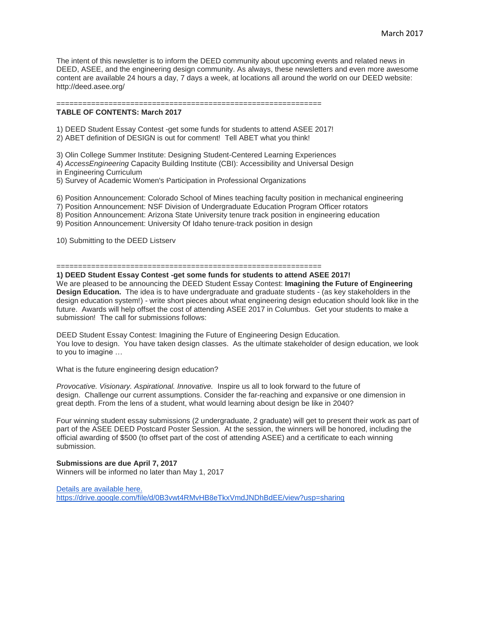The intent of this newsletter is to inform the DEED community about upcoming events and related news in DEED, ASEE, and the engineering design community. As always, these newsletters and even more awesome content are available 24 hours a day, 7 days a week, at locations all around the world on our DEED website: http://deed.asee.org/

#### **TABLE OF CONTENTS: March 2017**

1) DEED Student Essay Contest -get some funds for students to attend ASEE 2017!

2) ABET definition of DESIGN is out for comment! Tell ABET what you think!

3) Olin College Summer Institute: Designing Student-Centered Learning Experiences

4) *AccessEngineering* Capacity Building Institute (CBI): Accessibility and Universal Design

=============================================================

in Engineering Curriculum

5) Survey of Academic Women's Participation in Professional Organizations

6) Position Announcement: Colorado School of Mines teaching faculty position in mechanical engineering

7) Position Announcement: NSF Division of Undergraduate Education Program Officer rotators

8) Position Announcement: Arizona State University tenure track position in engineering education

9) Position Announcement: University Of Idaho tenure-track position in design

10) Submitting to the DEED Listserv

# =============================================================

**1) DEED Student Essay Contest -get some funds for students to attend ASEE 2017!** We are pleased to be announcing the DEED Student Essay Contest: **Imagining the Future of Engineering Design Education.** The idea is to have undergraduate and graduate students - (as key stakeholders in the design education system!) - write short pieces about what engineering design education should look like in the future. Awards will help offset the cost of attending ASEE 2017 in Columbus. Get your students to make a submission! The call for submissions follows:

DEED Student Essay Contest: Imagining the Future of Engineering Design Education. You love to design. You have taken design classes. As the ultimate stakeholder of design education, we look to you to imagine …

What is the future engineering design education?

*Provocative. Visionary. Aspirational. Innovative.* Inspire us all to look forward to the future of design. Challenge our current assumptions. Consider the far-reaching and expansive or one dimension in great depth. From the lens of a student, what would learning about design be like in 2040?

Four winning student essay submissions (2 undergraduate, 2 graduate) will get to present their work as part of part of the ASEE DEED Postcard Poster Session. At the session, the winners will be honored, including the official awarding of \$500 (to offset part of the cost of attending ASEE) and a certificate to each winning submission.

**Submissions are due April 7, 2017** Winners will be informed no later than May 1, 2017

[Details are available here.](https://drive.google.com/file/d/0B3vwt4RMvHB8eTkxVmdJNDhBdEE/view?usp=sharing) <https://drive.google.com/file/d/0B3vwt4RMvHB8eTkxVmdJNDhBdEE/view?usp=sharing>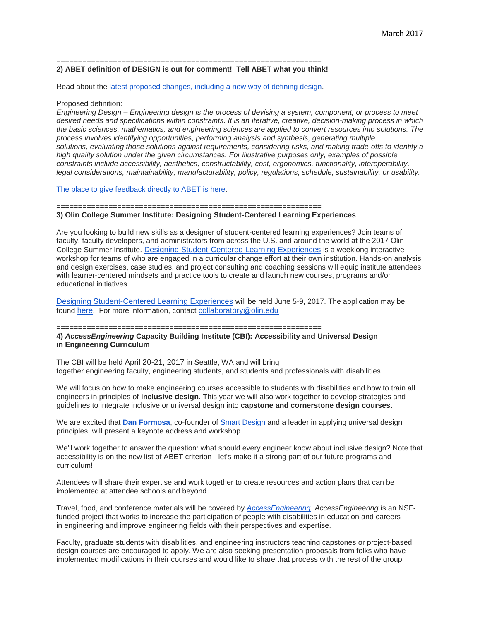#### ============================================================= **2) ABET definition of DESIGN is out for comment! Tell ABET what you think!**

Read about the [latest proposed changes, including a new way of defining design.](http://www.abet.org/blog/news/proposed-eac-criteria-changes-released-for-public-review-and-comment/)

#### Proposed definition:

*Engineering Design – Engineering design is the process of devising a system, component, or process to meet desired needs and specifications within constraints. It is an iterative, creative, decision-making process in which the basic sciences, mathematics, and engineering sciences are applied to convert resources into solutions. The process involves identifying opportunities, performing analysis and synthesis, generating multiple solutions, evaluating those solutions against requirements, considering risks, and making trade-offs to identify a high quality solution under the given circumstances. For illustrative purposes only, examples of possible constraints include accessibility, aesthetics, constructability, cost, ergonomics, functionality, interoperability, legal considerations, maintainability, manufacturability, policy, regulations, schedule, sustainability, or usability.*

[The place to give feedback directly to ABET is here.](https://www.surveymonkey.com/r/FN6GW2D)

#### ============================================================= **3) Olin College Summer Institute: Designing Student-Centered Learning Experiences**

Are you looking to build new skills as a designer of student-centered learning experiences? Join teams of faculty, faculty developers, and administrators from across the U.S. and around the world at the 2017 Olin College Summer Institute. [Designing Student-Centered Learning Experiences](http://www.olin.edu/collaborate/collaboratory/summer-institute/student-learning-experiences/) is a weeklong interactive workshop for teams of who are engaged in a curricular change effort at their own institution. Hands-on analysis and design exercises, case studies, and project consulting and coaching sessions will equip institute attendees with learner-centered mindsets and practice tools to create and launch new courses, programs and/or educational initiatives.

[Designing Student-Centered Learning Experiences](https://www.olin.edu/collaborate/collaboratory/summer-institute/student-learning-experiences/) will be held June 5-9, 2017. The application may be found [here](https://www.olin.edu/collaborate/collaboratory/summer-institute/apply/designing/). For more information, contact [collaboratory@olin.edu](mailto:collaboratory@olin.edu)

### =============================================================

**4)** *AccessEngineering* **Capacity Building Institute (CBI): Accessibility and Universal Design in Engineering Curriculum**

The CBI will be held April 20-21, 2017 in Seattle, WA and will bring together engineering faculty, engineering students, and students and professionals with disabilities.

We will focus on how to make engineering courses accessible to students with disabilities and how to train all engineers in principles of **inclusive design**. This year we will also work together to develop strategies and guidelines to integrate inclusive or universal design into **capstone and cornerstone design courses.**

We are excited that **[Dan Formosa](http://danformosa.com/)**, co-founder of [Smart Design](https://smartdesignworldwide.com/) and a leader in applying universal design principles, will present a keynote address and workshop.

We'll work together to answer the question: what should every engineer know about inclusive design? Note that accessibility is on the new list of ABET criterion - let's make it a strong part of our future programs and curriculum!

Attendees will share their expertise and work together to create resources and action plans that can be implemented at attendee schools and beyond.

Travel, food, and conference materials will be covered by *AccessEngineering*. *AccessEngineering* is an NSFfunded project that works to increase the participation of people with disabilities in education and careers in engineering and improve engineering fields with their perspectives and expertise.

Faculty, graduate students with disabilities, and engineering instructors teaching capstones or project-based design courses are encouraged to apply. We are also seeking presentation proposals from folks who have implemented modifications in their courses and would like to share that process with the rest of the group.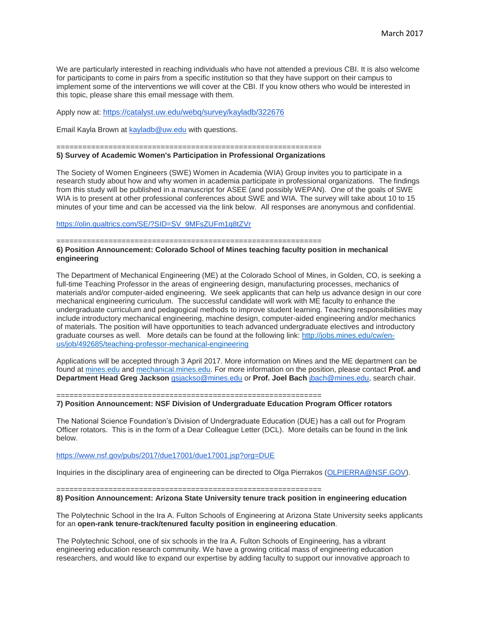We are particularly interested in reaching individuals who have not attended a previous CBI. It is also welcome for participants to come in pairs from a specific institution so that they have support on their campus to implement some of the interventions we will cover at the CBI. If you know others who would be interested in this topic, please share this email message with them.

Apply now at: <https://catalyst.uw.edu/webq/survey/kayladb/322676>

Email Kayla Brown at [kayladb@uw.edu](mailto:kayladb@uw.edu) with questions.

## =============================================================

# **5) Survey of Academic Women's Participation in Professional Organizations**

The Society of Women Engineers (SWE) Women in Academia (WIA) Group invites you to participate in a research study about how and why women in academia participate in professional organizations. The findings from this study will be published in a manuscript for ASEE (and possibly WEPAN). One of the goals of SWE WIA is to present at other professional conferences about SWE and WIA. The survey will take about 10 to 15 minutes of your time and can be accessed via the link below. All responses are anonymous and confidential.

[https://olin.qualtrics.com/SE/?SID=SV\\_9MFsZUFm1q8tZVr](https://olin.qualtrics.com/SE/?SID=SV_9MFsZUFm1q8tZVr)

=============================================================

### **6) Position Announcement: Colorado School of Mines teaching faculty position in mechanical engineering**

The Department of Mechanical Engineering (ME) at the Colorado School of Mines, in Golden, CO, is seeking a full-time Teaching Professor in the areas of engineering design, manufacturing processes, mechanics of materials and/or computer-aided engineering. We seek applicants that can help us advance design in our core mechanical engineering curriculum. The successful candidate will work with ME faculty to enhance the undergraduate curriculum and pedagogical methods to improve student learning. Teaching responsibilities may include introductory mechanical engineering, machine design, computer-aided engineering and/or mechanics of materials. The position will have opportunities to teach advanced undergraduate electives and introductory graduate courses as well. More details can be found at the following link: [http://jobs.mines.edu/cw/en](http://jobs.mines.edu/cw/en-us/job/492685/teaching-professor-mechanical-engineering)[us/job/492685/teaching-professor-mechanical-engineering](http://jobs.mines.edu/cw/en-us/job/492685/teaching-professor-mechanical-engineering)

Applications will be accepted through 3 April 2017. More information on Mines and the ME department can be found at [mines.edu](http://mines.edu/) and [mechanical.mines.edu.](http://mechanical.mines.edu/) For more information on the position, please contact **Prof. and Department Head Greg Jackson** [gsjackso@mines.edu](mailto:gsjackso@mines.edu) or **Prof. Joel Bach** [jbach@mines.edu,](mailto:jbach@mines.edu) search chair.

=============================================================

## **7) Position Announcement: NSF Division of Undergraduate Education Program Officer rotators**

The National Science Foundation's Division of Undergraduate Education (DUE) has a call out for Program Officer rotators. This is in the form of a Dear Colleague Letter (DCL). More details can be found in the link below.

#### <https://www.nsf.gov/pubs/2017/due17001/due17001.jsp?org=DUE>

Inquiries in the disciplinary area of engineering can be directed to Olga Pierrakos [\(OLPIERRA@NSF.GOV\)](mailto:OLPIERRA@nsf.gov).

=============================================================

# **8) Position Announcement: Arizona State University tenure track position in engineering education**

The Polytechnic School in the Ira A. Fulton Schools of Engineering at Arizona State University seeks applicants for an **open-rank tenure-track/tenured faculty position in engineering education**.

The Polytechnic School, one of six schools in the Ira A. Fulton Schools of Engineering, has a vibrant engineering education research community. We have a growing critical mass of engineering education researchers, and would like to expand our expertise by adding faculty to support our innovative approach to